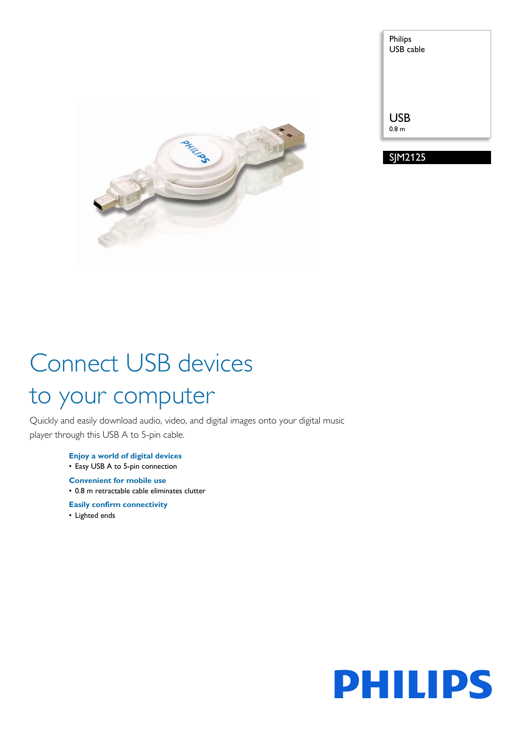

| <b>USB</b>       | Philips<br><b>USB</b> cable |  |
|------------------|-----------------------------|--|
|                  |                             |  |
|                  |                             |  |
| 0.8 <sub>m</sub> |                             |  |

SJM2125

# Connect USB devices to your computer

Quickly and easily download audio, video, and digital images onto your digital music player through this USB A to 5-pin cable.

> **Enjoy a world of digital devices** • Easy USB A to 5-pin connection

**Convenient for mobile use** • 0.8 m retractable cable eliminates clutter

**Easily confirm connectivity**

• Lighted ends